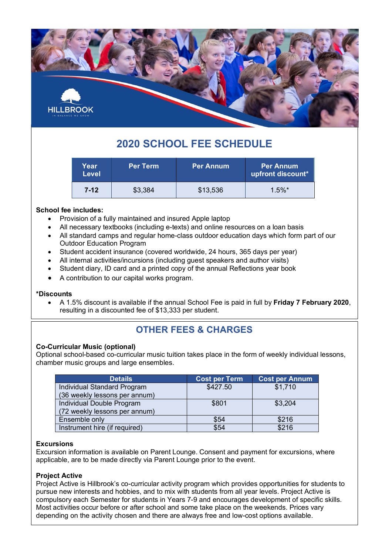

# **2020 SCHOOL FEE SCHEDULE**

| Year<br><b>Level</b> | <b>Per Term</b> | <b>Per Annum</b> | <b>Per Annum</b><br>upfront discount* |
|----------------------|-----------------|------------------|---------------------------------------|
| $7-12$               | \$3,384         | \$13,536         | $1.5\%$ *                             |

#### **School fee includes:**

- Provision of a fully maintained and insured Apple laptop
- All necessary textbooks (including e-texts) and online resources on a loan basis
- All standard camps and regular home-class outdoor education days which form part of our Outdoor Education Program
- Student accident insurance (covered worldwide, 24 hours, 365 days per year)
- All internal activities/incursions (including guest speakers and author visits)
- Student diary, ID card and a printed copy of the annual Reflections year book
- A contribution to our capital works program.

#### **\*Discounts**

• A 1.5% discount is available if the annual School Fee is paid in full by **Friday 7 February 2020**, resulting in a discounted fee of \$13,333 per student.

### **OTHER FEES & CHARGES**

#### **Co-Curricular Music (optional)**

Optional school-based co-curricular music tuition takes place in the form of weekly individual lessons, chamber music groups and large ensembles.

| <b>Details</b>                | <b>Cost per Term</b> | <b>Cost per Annum</b> |
|-------------------------------|----------------------|-----------------------|
| Individual Standard Program   | \$427.50             | \$1,710               |
| (36 weekly lessons per annum) |                      |                       |
| Individual Double Program     | \$801                | \$3,204               |
| (72 weekly lessons per annum) |                      |                       |
| Ensemble only                 | \$54                 | \$216                 |
| Instrument hire (if required) | \$54                 | \$216                 |

#### **Excursions**

Excursion information is available on Parent Lounge. Consent and payment for excursions, where applicable, are to be made directly via Parent Lounge prior to the event.

#### **Project Active**

Project Active is Hillbrook's co-curricular activity program which provides opportunities for students to pursue new interests and hobbies, and to mix with students from all year levels. Project Active is compulsory each Semester for students in Years 7-9 and encourages development of specific skills. Most activities occur before or after school and some take place on the weekends. Prices vary depending on the activity chosen and there are always free and low-cost options available.